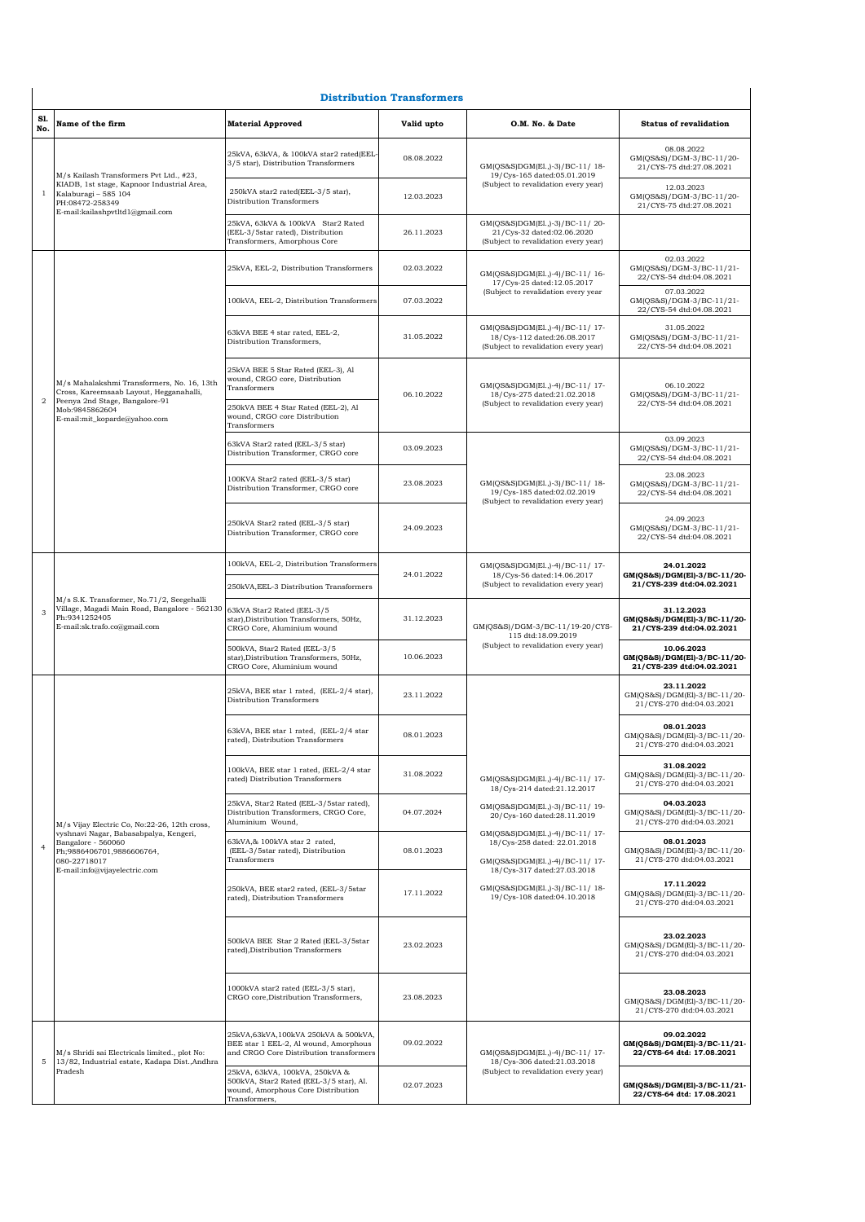|                |                                                                                                                                                                     |                                                                                                                                  | <b>Distribution Transformers</b> |                                                                                                       |                                                                         |
|----------------|---------------------------------------------------------------------------------------------------------------------------------------------------------------------|----------------------------------------------------------------------------------------------------------------------------------|----------------------------------|-------------------------------------------------------------------------------------------------------|-------------------------------------------------------------------------|
| Sl.<br>No.     | Name of the firm                                                                                                                                                    | <b>Material Approved</b>                                                                                                         | Valid upto                       | O.M. No. & Date                                                                                       | <b>Status of revalidation</b>                                           |
| 1              | M/s Kailash Transformers Pvt Ltd., #23,<br>KIADB, 1st stage, Kapnoor Industrial Area,<br>Kalaburagi - 585 104<br>PH:08472-258349<br>E-mail:kailashpvtltd1@gmail.com | 25kVA, 63kVA, & 100kVA star2 rated(EEL-<br>3/5 star), Distribution Transformers                                                  | 08.08.2022                       | GM(QS&S)DGM(El.,)-3)/BC-11/18-<br>19/Cys-165 dated:05.01.2019                                         | 08.08.2022<br>GM(QS&S)/DGM-3/BC-11/20-<br>21/CYS-75 dtd:27.08.2021      |
|                |                                                                                                                                                                     | 250kVA star2 rated(EEL-3/5 star),<br>Distribution Transformers                                                                   | 12.03.2023                       | (Subject to revalidation every year)                                                                  | 12.03.2023<br>GM(QS&S)/DGM-3/BC-11/20-<br>21/CYS-75 dtd:27.08.2021      |
|                |                                                                                                                                                                     | 25kVA, 63kVA & 100kVA Star2 Rated<br>(EEL-3/5star rated), Distribution<br>Transformers, Amorphous Core                           | 26.11.2023                       | GM(QS&S)DGM(El.,)-3)/BC-11/20-<br>21/Cys-32 dated:02.06.2020<br>(Subject to revalidation every year)  |                                                                         |
|                |                                                                                                                                                                     | 25kVA, EEL-2, Distribution Transformers                                                                                          | 02.03.2022                       | GM(QS&S)DGM(El.,)-4)/BC-11/16-<br>17/Cys-25 dated:12.05.2017                                          | 02.03.2022<br>GM(QS&S)/DGM-3/BC-11/21-<br>22/CYS-54 dtd:04.08.2021      |
|                |                                                                                                                                                                     | 100kVA, EEL-2, Distribution Transformers                                                                                         | 07.03.2022                       | (Subject to revalidation every year                                                                   | 07.03.2022<br>GM(QS&S)/DGM-3/BC-11/21-<br>22/CYS-54 dtd:04.08.2021      |
|                |                                                                                                                                                                     | 63kVA BEE 4 star rated, EEL-2,<br>Distribution Transformers,                                                                     | 31.05.2022                       | GM(QS&S)DGM(El.,)-4)/BC-11/17-<br>18/Cys-112 dated:26.08.2017<br>(Subject to revalidation every year) | 31.05.2022<br>GM(QS&S)/DGM-3/BC-11/21-<br>22/CYS-54 dtd:04.08.2021      |
|                | M/s Mahalakshmi Transformers, No. 16, 13th<br>Cross, Kareemsaab Layout, Hegganahalli,                                                                               | 25kVA BEE 5 Star Rated (EEL-3), Al<br>wound, CRGO core, Distribution<br>Transformers                                             | 06.10.2022                       | GM(QS&S)DGM(El.,)-4)/BC-11/17-<br>18/Cys-275 dated:21.02.2018                                         | 06.10.2022<br>GM(QS&S)/DGM-3/BC-11/21-                                  |
| $\overline{2}$ | Peenya 2nd Stage, Bangalore-91<br>Mob:9845862604<br>E-mail:mit_koparde@yahoo.com                                                                                    | 250kVA BEE 4 Star Rated (EEL-2), Al<br>wound, CRGO core Distribution<br>Transformers                                             |                                  | (Subject to revalidation every year)                                                                  | 22/CYS-54 dtd:04.08.2021                                                |
|                |                                                                                                                                                                     | 63kVA Star2 rated (EEL-3/5 star)<br>Distribution Transformer, CRGO core                                                          | 03.09.2023                       |                                                                                                       | 03.09.2023<br>GM(QS&S)/DGM-3/BC-11/21-<br>22/CYS-54 dtd:04.08.2021      |
|                |                                                                                                                                                                     | 100KVA Star2 rated (EEL-3/5 star)<br>Distribution Transformer, CRGO core                                                         | 23.08.2023                       | GM(QS&S)DGM(El.,)-3)/BC-11/18-<br>19/Cys-185 dated:02.02.2019<br>(Subject to revalidation every year) | 23.08.2023<br>GM(QS&S)/DGM-3/BC-11/21-<br>22/CYS-54 dtd:04.08.2021      |
|                |                                                                                                                                                                     | 250kVA Star2 rated (EEL-3/5 star)<br>Distribution Transformer, CRGO core                                                         | 24.09.2023                       |                                                                                                       | 24.09.2023<br>GM(QS&S)/DGM-3/BC-11/21-<br>22/CYS-54 dtd:04.08.2021      |
|                | M/s S.K. Transformer, No.71/2, Seegehalli<br>Village, Magadi Main Road, Bangalore - 562130<br>Ph:9341252405<br>E-mail:sk.trafo.co@gmail.com                         | 100kVA, EEL-2, Distribution Transformers                                                                                         | 24.01.2022                       | GM(QS&S)DGM(El.,)-4)/BC-11/17-<br>18/Cys-56 dated:14.06.2017                                          | 24.01.2022<br>GM(QS&S)/DGM(El)-3/BC-11/20-                              |
|                |                                                                                                                                                                     | 250kVA, EEL-3 Distribution Transformers                                                                                          |                                  | (Subject to revalidation every year)                                                                  | 21/CYS-239 dtd:04.02.2021                                               |
| 3              |                                                                                                                                                                     | 63kVA Star2 Rated (EEL-3/5<br>star), Distribution Transformers, 50Hz,<br>CRGO Core, Aluminium wound                              | 31.12.2023                       | GM(QS&S)/DGM-3/BC-11/19-20/CYS-<br>115 dtd:18.09.2019<br>(Subject to revalidation every year)         | 31.12.2023<br>GM(QS&S)/DGM(El)-3/BC-11/20-<br>21/CYS-239 dtd:04.02.2021 |
|                |                                                                                                                                                                     | 500kVA, Star2 Rated (EEL-3/5<br>star), Distribution Transformers, 50Hz,<br>CRGO Core, Aluminium wound                            | 10.06.2023                       |                                                                                                       | 10.06.2023<br>GM(QS&S)/DGM(El)-3/BC-11/20-<br>21/CYS-239 dtd:04.02.2021 |
|                |                                                                                                                                                                     | 25kVA, BEE star 1 rated, (EEL-2/4 star),<br>Distribution Transformers                                                            | 23.11.2022                       |                                                                                                       | 23.11.2022<br>GM(QS&S)/DGM(El)-3/BC-11/20-<br>21/CYS-270 dtd:04.03.2021 |
|                |                                                                                                                                                                     | 53kVA, BEE star 1 rated, (EEL-2/4 star<br>rated), Distribution Transformers                                                      | 08.01.2023                       |                                                                                                       | 08.01.2023<br>GM(QS&S)/DGM(El)-3/BC-11/20-<br>21/CYS-270 dtd:04.03.2021 |
|                |                                                                                                                                                                     | 100kVA, BEE star 1 rated, (EEL-2/4 star<br>rated) Distribution Transformers                                                      | 31.08.2022                       | GM(QS&S)DGM(El.,)-4)/BC-11/17-<br>18/Cys-214 dated:21.12.2017                                         | 31.08.2022<br>GM(QS&S)/DGM(El)-3/BC-11/20-<br>21/CYS-270 dtd:04.03.2021 |
|                | M/s Vijay Electric Co, No:22-26, 12th cross,                                                                                                                        | 25kVA, Star2 Rated (EEL-3/5star rated),<br>Distribution Transformers, CRGO Core,<br>Aluminium Wound,                             | 04.07.2024                       | GM(QS&S)DGM(El.,)-3)/BC-11/19-<br>20/Cys-160 dated:28.11.2019                                         | 04.03.2023<br>GM(QS&S)/DGM(El)-3/BC-11/20-<br>21/CYS-270 dtd:04.03.2021 |
| $\overline{4}$ | vyshnavi Nagar, Babasabpalya, Kengeri,<br>Bangalore - 560060<br>Ph;9886406701,9886606764,<br>080-22718017                                                           | 63kVA,& 100kVA star 2 rated,<br>(EEL-3/5star rated), Distribution<br>Transformers                                                | 08.01.2023                       | GM(QS&S)DGM(El.,)-4)/BC-11/17-<br>18/Cys-258 dated: 22.01.2018<br>GM(QS&S)DGM(El.,)-4)/BC-11/17-      | 08.01.2023<br>GM(QS&S)/DGM(El)-3/BC-11/20-<br>21/CYS-270 dtd:04.03.2021 |
|                | E-mail:info@vijayelectric.com                                                                                                                                       | 250kVA, BEE star2 rated, (EEL-3/5star<br>rated), Distribution Transformers                                                       | 17.11.2022                       | 18/Cys-317 dated:27.03.2018<br>GM(QS&S)DGM(El.,)-3)/BC-11/18-<br>19/Cys-108 dated:04.10.2018          | 17.11.2022<br>GM(QS&S)/DGM(El)-3/BC-11/20-<br>21/CYS-270 dtd:04.03.2021 |
|                |                                                                                                                                                                     | 500kVA BEE Star 2 Rated (EEL-3/5star<br>rated), Distribution Transformers                                                        | 23.02.2023                       |                                                                                                       | 23.02.2023<br>GM(QS&S)/DGM(El)-3/BC-11/20-<br>21/CYS-270 dtd:04.03.2021 |
|                |                                                                                                                                                                     | 1000kVA star2 rated (EEL-3/5 star),<br>CRGO core, Distribution Transformers,                                                     | 23.08.2023                       |                                                                                                       | 23.08.2023<br>GM(QS&S)/DGM(El)-3/BC-11/20-<br>21/CYS-270 dtd:04.03.2021 |
| 5              | M/s Shridi sai Electricals limited., plot No:<br>13/82, Industrial estate, Kadapa Dist., Andhra                                                                     | 25kVA,63kVA,100kVA 250kVA & 500kVA,<br>BEE star 1 EEL-2, Al wound, Amorphous<br>and CRGO Core Distribution transformers          | 09.02.2022                       | GM(QS&S)DGM(El.,)-4)/BC-11/17-<br>18/Cys-306 dated:21.03.2018                                         | 09.02.2022<br>GM(QS&S)/DGM(El)-3/BC-11/21-<br>22/CYS-64 dtd: 17.08.2021 |
|                | Pradesh                                                                                                                                                             | 25kVA, 63kVA, 100kVA, 250kVA &<br>500kVA, Star2 Rated (EEL-3/5 star), Al.<br>wound, Amorphous Core Distribution<br>Transformers, | 02.07.2023                       | (Subject to revalidation every year)                                                                  | GM(QS&S)/DGM(El)-3/BC-11/21-<br>22/CYS-64 dtd: 17.08.2021               |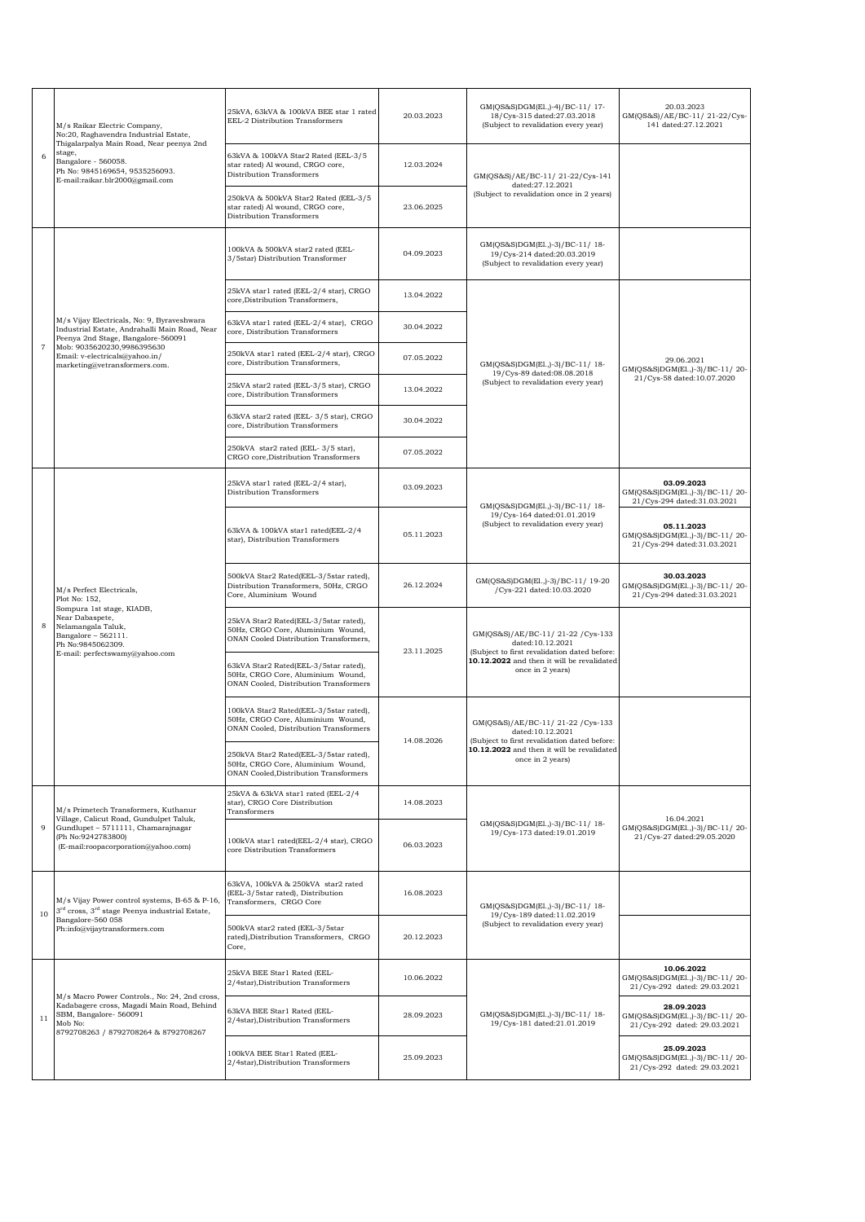|    | M/s Raikar Electric Company,<br>No:20, Raghavendra Industrial Estate,                                                                                                                         | 25kVA, 63kVA & 100kVA BEE star 1 rated<br>EEL-2 Distribution Transformers                                             | 20.03.2023 | GM(QS&S)DGM(El.,)-4)/BC-11/17-<br>18/Cys-315 dated:27.03.2018<br>(Subject to revalidation every year) | 20.03.2023<br>GM(QS&S)/AE/BC-11/21-22/Cys-<br>141 dated:27.12.2021           |
|----|-----------------------------------------------------------------------------------------------------------------------------------------------------------------------------------------------|-----------------------------------------------------------------------------------------------------------------------|------------|-------------------------------------------------------------------------------------------------------|------------------------------------------------------------------------------|
| 6  | Thigalarpalya Main Road, Near peenya 2nd<br>stage,<br>Bangalore - 560058.<br>Ph No: 9845169654, 9535256093.<br>E-mail:raikar.blr2000@gmail.com                                                | 63kVA & 100kVA Star2 Rated (EEL-3/5<br>star rated) Al wound, CRGO core,<br>Distribution Transformers                  | 12.03.2024 | GM(QS&S)/AE/BC-11/21-22/Cys-141                                                                       |                                                                              |
|    |                                                                                                                                                                                               | 250kVA & 500kVA Star2 Rated (EEL-3/5<br>star rated) Al wound, CRGO core,<br>Distribution Transformers                 | 23.06.2025 | dated:27.12.2021<br>(Subject to revalidation once in 2 years)                                         |                                                                              |
|    |                                                                                                                                                                                               | 100kVA & 500kVA star2 rated (EEL-<br>3/5star) Distribution Transformer                                                | 04.09.2023 | GM(QS&S)DGM(El.,)-3)/BC-11/18-<br>19/Cys-214 dated:20.03.2019<br>(Subject to revalidation every year) |                                                                              |
|    |                                                                                                                                                                                               | 25kVA star1 rated (EEL-2/4 star), CRGO<br>core, Distribution Transformers,                                            | 13.04.2022 |                                                                                                       |                                                                              |
|    | M/s Vijay Electricals, No: 9, Byraveshwara<br>Industrial Estate, Andrahalli Main Road, Near<br>Peenya 2nd Stage, Bangalore-560091                                                             | 63kVA star1 rated (EEL-2/4 star), CRGO<br>core, Distribution Transformers                                             | 30.04.2022 |                                                                                                       |                                                                              |
| 7  | Mob: 9035620230,9986395630<br>Email: v-electricals@yahoo.in/<br>marketing@vetransformers.com.                                                                                                 | 250kVA star1 rated (EEL-2/4 star), CRGO<br>core, Distribution Transformers,                                           | 07.05.2022 | GM(QS&S)DGM(El.,)-3)/BC-11/18-                                                                        | 29.06.2021<br>GM(QS&S)DGM(El.,)-3)/BC-11/20-                                 |
|    |                                                                                                                                                                                               | 25kVA star2 rated (EEL-3/5 star), CRGO<br>core, Distribution Transformers                                             | 13.04.2022 | 19/Cys-89 dated:08.08.2018<br>(Subject to revalidation every year)                                    | 21/Cys-58 dated:10.07.2020                                                   |
|    |                                                                                                                                                                                               | 63kVA star2 rated (EEL-3/5 star), CRGO<br>core, Distribution Transformers                                             | 30.04.2022 |                                                                                                       |                                                                              |
|    |                                                                                                                                                                                               | 250kVA star2 rated (EEL-3/5 star),<br>CRGO core, Distribution Transformers                                            | 07.05.2022 |                                                                                                       |                                                                              |
|    |                                                                                                                                                                                               | 25kVA star1 rated (EEL-2/4 star),<br>Distribution Transformers                                                        | 03.09.2023 | GM(QS&S)DGM(El.,)-3)/BC-11/18-                                                                        | 03.09.2023<br>GM(QS&S)DGM(El.,)-3)/BC-11/20-<br>21/Cys-294 dated:31.03.2021  |
|    | M/s Perfect Electricals,<br>Plot No: 152,<br>Sompura 1st stage, KIADB,<br>Near Dabaspete,<br>Nelamangala Taluk,<br>Bangalore - 562111.<br>Ph No:9845062309.<br>E-mail: perfectswamy@yahoo.com | 63kVA & 100kVA star1 rated(EEL-2/4<br>star), Distribution Transformers                                                | 05.11.2023 | 19/Cys-164 dated:01.01.2019<br>(Subject to revalidation every year)                                   | 05.11.2023<br>GM(QS&S)DGM(E1.,)-3)/BC-11/20-<br>21/Cys-294 dated:31.03.2021  |
|    |                                                                                                                                                                                               | 500kVA Star2 Rated(EEL-3/5star rated),<br>Distribution Transformers, 50Hz, CRGO<br>Core, Aluminium Wound              | 26.12.2024 | GM(QS&S)DGM(El.,)-3)/BC-11/ 19-20<br>/Cys-221 dated:10.03.2020                                        | 30.03.2023<br>GM(QS&S)DGM(El.,)-3)/BC-11/20-<br>21/Cys-294 dated:31.03.2021  |
| 8  |                                                                                                                                                                                               | 25kVA Star2 Rated(EEL-3/5star rated),<br>50Hz, CRGO Core, Aluminium Wound,<br>ONAN Cooled Distribution Transformers,  | 23.11.2025 | GM(QS&S)/AE/BC-11/21-22/Cys-133<br>dated:10.12.2021<br>(Subject to first revalidation dated before:   |                                                                              |
|    |                                                                                                                                                                                               | 63kVA Star2 Rated(EEL-3/5star rated),<br>50Hz, CRGO Core, Aluminium Wound,<br>ONAN Cooled, Distribution Transformers  |            | 10.12.2022 and then it will be revalidated<br>once in 2 years)                                        |                                                                              |
|    |                                                                                                                                                                                               | 100kVA Star2 Rated(EEL-3/5star rated),<br>50Hz, CRGO Core, Aluminium Wound,<br>ONAN Cooled, Distribution Transformers | 14.08.2026 | GM(QS&S)/AE/BC-11/21-22/Cys-133<br>dated:10.12.2021<br>(Subject to first revalidation dated before:   |                                                                              |
|    |                                                                                                                                                                                               | 250kVA Star2 Rated(EEL-3/5star rated),<br>50Hz, CRGO Core, Aluminium Wound,<br>ONAN Cooled, Distribution Transformers |            | 10.12.2022 and then it will be revalidated<br>once in 2 years)                                        |                                                                              |
|    | M/s Primetech Transformers, Kuthanur                                                                                                                                                          | 25kVA & 63kVA star1 rated (EEL-2/4<br>star), CRGO Core Distribution<br>Transformers                                   | 14.08.2023 |                                                                                                       | 16.04.2021                                                                   |
| 9  | Village, Calicut Road, Gundulpet Taluk,<br>Gundlupet - 5711111, Chamarajnagar<br>(Ph No:9242783800)<br>(E-mail:roopacorporation@yahoo.com)                                                    | 100kVA star1 rated(EEL-2/4 star), CRGO<br>core Distribution Transformers                                              | 06.03.2023 | GM(QS&S)DGM(El.,)-3)/BC-11/18-<br>19/Cys-173 dated:19.01.2019                                         | GM(QS&S)DGM(El.,)-3)/BC-11/20-<br>21/Cys-27 dated:29.05.2020                 |
| 10 | M/s Vijay Power control systems, B-65 & P-16,<br>3 <sup>rd</sup> cross, 3 <sup>rd</sup> stage Peenya industrial Estate,                                                                       | 63kVA, 100kVA & 250kVA star2 rated<br>(EEL-3/5star rated), Distribution<br>Transformers, CRGO Core                    | 16.08.2023 | GM(QS&S)DGM(El.,)-3)/BC-11/18-                                                                        |                                                                              |
|    | Bangalore-560 058<br>Ph:info@vijaytransformers.com                                                                                                                                            | 500kVA star2 rated (EEL-3/5star<br>rated), Distribution Transformers, CRGO<br>Core,                                   | 20.12.2023 | 19/Cys-189 dated:11.02.2019<br>(Subject to revalidation every year)                                   |                                                                              |
|    |                                                                                                                                                                                               | 25kVA BEE Star1 Rated (EEL-<br>2/4star), Distribution Transformers                                                    | 10.06.2022 |                                                                                                       | 10.06.2022<br>GM(QS&S)DGM(E1.,)-3)/BC-11/20-<br>21/Cys-292 dated: 29.03.2021 |
| 11 | M/s Macro Power Controls., No: 24, 2nd cross,<br>Kadabagere cross, Magadi Main Road, Behind<br>SBM, Bangalore-560091<br>Mob No:<br>8792708263 / 8792708264 & 8792708267                       | 63kVA BEE Star1 Rated (EEL-<br>2/4star), Distribution Transformers                                                    | 28.09.2023 | GM(QS&S)DGM(El.,)-3)/BC-11/18-<br>19/Cys-181 dated:21.01.2019                                         | 28.09.2023<br>GM(QS&S)DGM(El.,)-3)/BC-11/20-<br>21/Cys-292 dated: 29.03.2021 |
|    |                                                                                                                                                                                               | 100kVA BEE Star1 Rated (EEL-<br>2/4star), Distribution Transformers                                                   | 25.09.2023 |                                                                                                       | 25.09.2023<br>GM(QS&S)DGM(E1.,)-3)/BC-11/20-<br>21/Cys-292 dated: 29.03.2021 |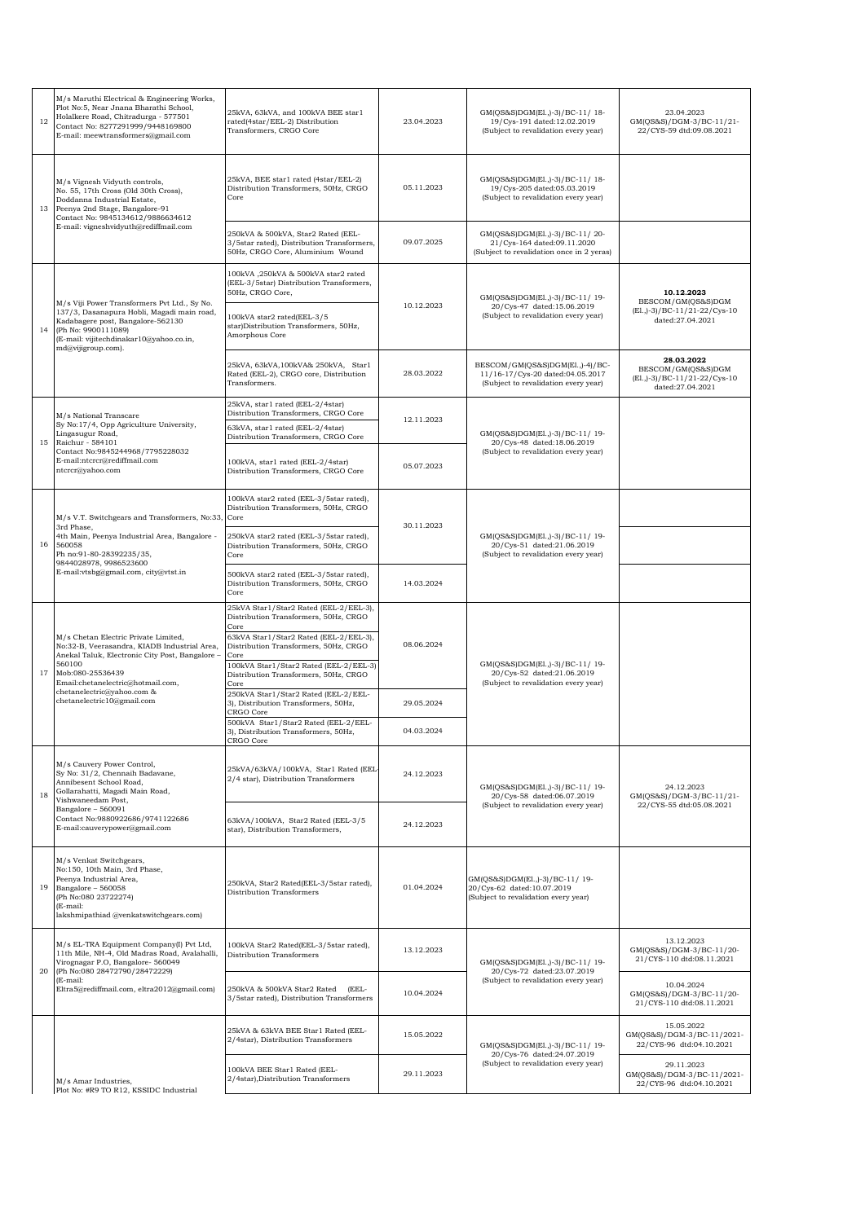| 12 | M/s Maruthi Electrical & Engineering Works,<br>Plot No:5, Near Jnana Bharathi School,<br>Holalkere Road, Chitradurga - 577501<br>Contact No: 8277291999/9448169800<br>E-mail: meewtransformers@gmail.com                                                               | 25kVA, 63kVA, and 100kVA BEE star1<br>rated(4star/EEL-2) Distribution<br>Transformers, CRGO Core                     | 23.04.2023 | GM(QS&S)DGM(El.,)-3)/BC-11/18-<br>19/Cys-191 dated:12.02.2019<br>(Subject to revalidation every year)       | 23.04.2023<br>GM(QS&S)/DGM-3/BC-11/21-<br>22/CYS-59 dtd:09.08.2021                    |  |
|----|------------------------------------------------------------------------------------------------------------------------------------------------------------------------------------------------------------------------------------------------------------------------|----------------------------------------------------------------------------------------------------------------------|------------|-------------------------------------------------------------------------------------------------------------|---------------------------------------------------------------------------------------|--|
| 13 | M/s Vignesh Vidyuth controls,<br>No. 55, 17th Cross (Old 30th Cross),<br>Doddanna Industrial Estate,<br>Peenya 2nd Stage, Bangalore-91<br>Contact No: 9845134612/9886634612                                                                                            | 25kVA, BEE star1 rated (4star/EEL-2)<br>Distribution Transformers, 50Hz, CRGO<br>Core                                | 05.11.2023 | GM(QS&S)DGM(El.,)-3)/BC-11/18-<br>19/Cys-205 dated:05.03.2019<br>(Subject to revalidation every year)       |                                                                                       |  |
|    | E-mail: vigneshvidyuth@rediffmail.com                                                                                                                                                                                                                                  | 250kVA & 500kVA, Star2 Rated (EEL-<br>3/5star rated), Distribution Transformers,<br>50Hz, CRGO Core, Aluminium Wound | 09.07.2025 | GM(QS&S)DGM(El.,)-3)/BC-11/20-<br>21/Cys-164 dated:09.11.2020<br>(Subject to revalidation once in 2 yeras)  |                                                                                       |  |
|    |                                                                                                                                                                                                                                                                        | 100kVA, 250kVA & 500kVA star2 rated<br>(EEL-3/5star) Distribution Transformers,<br>50Hz, CRGO Core,                  |            | GM(QS&S)DGM(El.,)-3)/BC-11/19-                                                                              | 10.12.2023                                                                            |  |
| 14 | M/s Viji Power Transformers Pvt Ltd., Sy No.<br>137/3, Dasanapura Hobli, Magadi main road,<br>Kadabagere post, Bangalore-562130<br>(Ph No: 9900111089)<br>(E-mail: vijitechdinakar10@yahoo.co.in,<br>md@vijigroup.com).                                                | 100kVA star2 rated(EEL-3/5<br>star)Distribution Transformers, 50Hz,<br>Amorphous Core                                | 10.12.2023 | 20/Cys-47 dated:15.06.2019<br>(Subject to revalidation every year)                                          | BESCOM/GM(QS&S)DGM<br>(El., )-3) / BC-11/21-22/ Cys-10<br>dated:27.04.2021            |  |
|    |                                                                                                                                                                                                                                                                        | 25kVA, 63kVA, 100kVA& 250kVA, Star1<br>Rated (EEL-2), CRGO core, Distribution<br>Transformers.                       | 28.03.2022 | BESCOM/GM(QS&S)DGM(El.,)-4)/BC-<br>11/16-17/Cys-20 dated:04.05.2017<br>(Subject to revalidation every year) | 28.03.2022<br>BESCOM/GM(QS&S)DGM<br>(El., )-3)/BC-11/21-22/Cys-10<br>dated:27.04.2021 |  |
|    | M/s National Transcare                                                                                                                                                                                                                                                 | 25kVA, star1 rated (EEL-2/4star)<br>Distribution Transformers, CRGO Core                                             | 12.11.2023 |                                                                                                             |                                                                                       |  |
| 15 | Sy No:17/4, Opp Agriculture University,<br>Lingasugur Road,<br>Raichur - 584101                                                                                                                                                                                        | 63kVA, star1 rated (EEL-2/4star)<br>Distribution Transformers, CRGO Core                                             |            | GM(QS&S)DGM(El.,)-3)/BC-11/19-<br>20/Cys-48 dated:18.06.2019                                                |                                                                                       |  |
|    | Contact No:9845244968/7795228032<br>E-mail:ntcrcr@rediffmail.com<br>ntcrcr@yahoo.com                                                                                                                                                                                   | 100kVA, star1 rated (EEL-2/4star)<br>Distribution Transformers, CRGO Core                                            | 05.07.2023 | (Subject to revalidation every year)                                                                        |                                                                                       |  |
|    | M/s V.T. Switchgears and Transformers, No:33<br>3rd Phase,                                                                                                                                                                                                             | 100kVA star2 rated (EEL-3/5star rated),<br>Distribution Transformers, 50Hz, CRGO<br>Core                             | 30.11.2023 |                                                                                                             |                                                                                       |  |
| 16 | 4th Main, Peenya Industrial Area, Bangalore -<br>560058<br>Ph no:91-80-28392235/35,<br>9844028978, 9986523600<br>E-mail:vtsbg@gmail.com, city@vtst.in                                                                                                                  | 250kVA star2 rated (EEL-3/5star rated),<br>Distribution Transformers, 50Hz, CRGO<br>Core                             |            | GM(QS&S)DGM(El.,)-3)/BC-11/19-<br>20/Cys-51 dated:21.06.2019<br>(Subject to revalidation every year)        |                                                                                       |  |
|    |                                                                                                                                                                                                                                                                        | 500kVA star2 rated (EEL-3/5star rated),<br>Distribution Transformers, 50Hz, CRGO<br>Core                             | 14.03.2024 |                                                                                                             |                                                                                       |  |
|    | M/s Chetan Electric Private Limited,<br>No:32-B, Veerasandra, KIADB Industrial Area,<br>Anekal Taluk, Electronic City Post, Bangalore -<br>560100<br>Mob:080-25536439<br>Email:chetanelectric@hotmail.com,<br>chetanelectric@yahoo.com &<br>chetanelectric10@gmail.com | 25kVA Star1/Star2 Rated (EEL-2/EEL-3),<br>Distribution Transformers, 50Hz, CRGO<br>Core                              | 08.06.2024 |                                                                                                             |                                                                                       |  |
|    |                                                                                                                                                                                                                                                                        | 63kVA Star1/Star2 Rated (EEL-2/EEL-3),<br>Distribution Transformers, 50Hz, CRGO<br>Core                              |            |                                                                                                             |                                                                                       |  |
| 17 |                                                                                                                                                                                                                                                                        | 100kVA Star1/Star2 Rated (EEL-2/EEL-3)<br>Distribution Transformers, 50Hz, CRGO<br>Core                              |            | GM(QS&S)DGM(El.,)-3)/BC-11/19-<br>20/Cys-52 dated:21.06.2019<br>(Subject to revalidation every year)        |                                                                                       |  |
|    |                                                                                                                                                                                                                                                                        | 250kVA Star1/Star2 Rated (EEL-2/EEL-<br>3), Distribution Transformers, 50Hz,<br>CRGO Core                            | 29.05.2024 |                                                                                                             |                                                                                       |  |
|    |                                                                                                                                                                                                                                                                        | 500kVA Star1/Star2 Rated (EEL-2/EEL-<br>3), Distribution Transformers, 50Hz,<br>CRGO Core                            | 04.03.2024 |                                                                                                             |                                                                                       |  |
| 18 | M/s Cauvery Power Control,<br>Sy No: 31/2, Chennaih Badavane,<br>Annibesent School Road,<br>Gollarahatti, Magadi Main Road,                                                                                                                                            | 25kVA/63kVA/100kVA, Star1 Rated (EEL<br>2/4 star), Distribution Transformers                                         | 24.12.2023 | GM(QS&S)DGM(El.,)-3)/BC-11/19-<br>20/Cys-58 dated:06.07.2019                                                | 24.12.2023<br>GM(QS&S)/DGM-3/BC-11/21-                                                |  |
|    | Vishwaneedam Post,<br>Bangalore - 560091<br>Contact No:9880922686/9741122686<br>E-mail:cauverypower@gmail.com                                                                                                                                                          | 63kVA/100kVA, Star2 Rated (EEL-3/5<br>star), Distribution Transformers,                                              | 24.12.2023 | (Subject to revalidation every year)                                                                        | 22/CYS-55 dtd:05.08.2021                                                              |  |
| 19 | M/s Venkat Switchgears,<br>No:150, 10th Main, 3rd Phase,<br>Peenya Industrial Area,<br>Bangalore - 560058<br>(Ph No:080 23722274)<br>(E-mail:<br>lakshmipathiad @venkatswitchgears.com)                                                                                | 250kVA, Star2 Rated(EEL-3/5star rated),<br>Distribution Transformers                                                 | 01.04.2024 | GM(OS&S)DGM(El.,)-3)/BC-11/19-<br>20/Cys-62 dated:10.07.2019<br>(Subject to revalidation every year)        |                                                                                       |  |
|    | M/s EL-TRA Equipment Company(I) Pvt Ltd,<br>11th Mile, NH-4, Old Madras Road, Avalahalli,<br>Virognagar P.O, Bangalore- 560049                                                                                                                                         | 100kVA Star2 Rated(EEL-3/5star rated),<br>Distribution Transformers                                                  | 13.12.2023 | GM(QS&S)DGM(El.,)-3)/BC-11/19-                                                                              | 13.12.2023<br>GM(QS&S)/DGM-3/BC-11/20-<br>21/CYS-110 dtd:08.11.2021                   |  |
| 20 | (Ph No:080 28472790/28472229)<br>(E-mail:<br>Eltra5@rediffmail.com, eltra2012@gmail.com)                                                                                                                                                                               | 250kVA & 500kVA Star2 Rated<br>(EEL-<br>3/5star rated), Distribution Transformers                                    | 10.04.2024 | 20/Cys-72 dated:23.07.2019<br>(Subject to revalidation every year)                                          | 10.04.2024<br>GM(QS&S)/DGM-3/BC-11/20-<br>21/CYS-110 dtd:08.11.2021                   |  |
|    |                                                                                                                                                                                                                                                                        | 25kVA & 63kVA BEE Star1 Rated (EEL-<br>2/4star), Distribution Transformers                                           | 15.05.2022 | GM(QS&S)DGM(El.,)-3)/BC-11/19-                                                                              | 15.05.2022<br>GM(QS&S)/DGM-3/BC-11/2021-<br>22/CYS-96 dtd:04.10.2021                  |  |
|    | M/s Amar Industries,<br>Plot No: #R9 TO R12, KSSIDC Industrial                                                                                                                                                                                                         | 100kVA BEE Star1 Rated (EEL-<br>2/4star), Distribution Transformers                                                  | 29.11.2023 | 20/Cys-76 dated:24.07.2019<br>(Subject to revalidation every year)                                          | 29.11.2023<br>GM(QS&S)/DGM-3/BC-11/2021-<br>22/CYS-96 dtd:04.10.2021                  |  |
|    |                                                                                                                                                                                                                                                                        |                                                                                                                      |            |                                                                                                             |                                                                                       |  |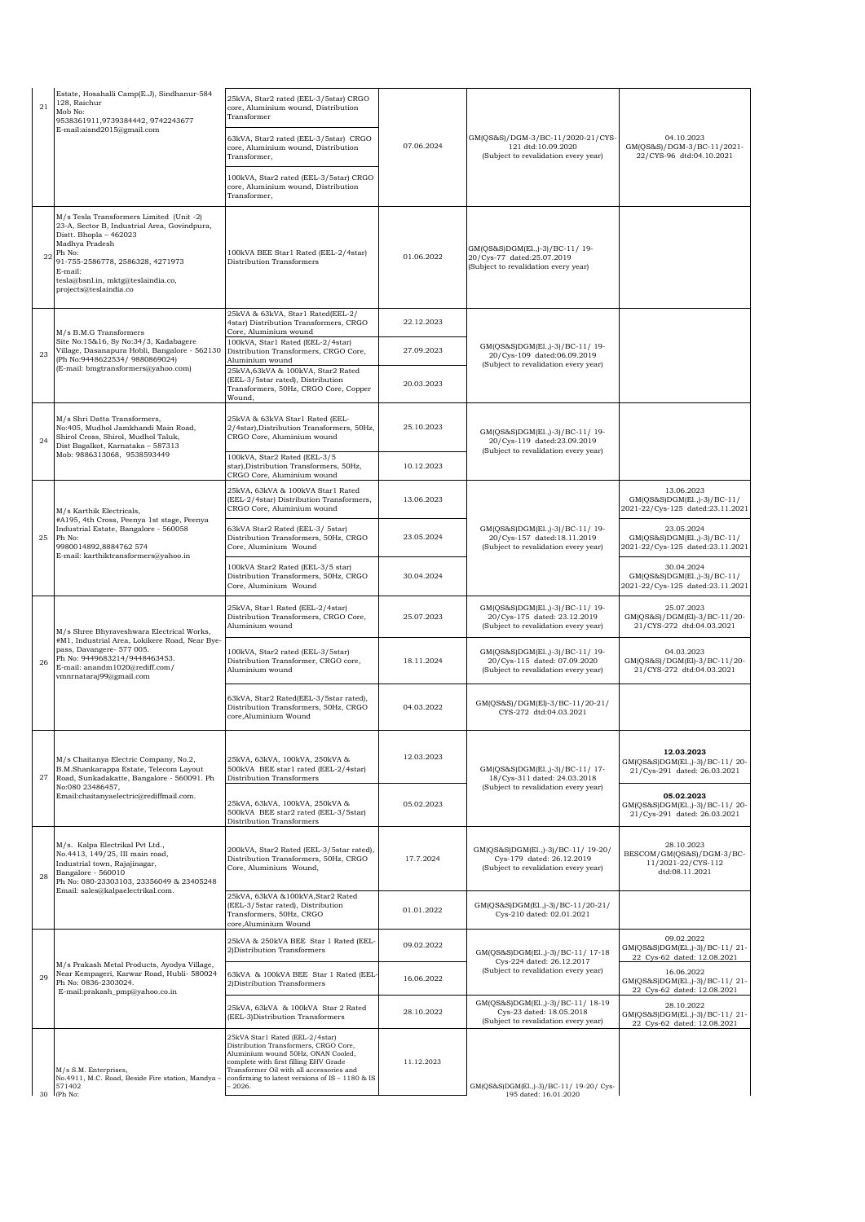| 21 | Estate, Hosahalli Camp(E.J), Sindhanur-584<br>128, Raichur<br>Mob No:<br>9538361911,9739384442, 9742243677                                                                                                                                                    | 25kVA, Star2 rated (EEL-3/5star) CRGO<br>core, Aluminium wound, Distribution<br>Transformer                                                                                                                                                                        |            |                                                                                                         |                                                                                 |
|----|---------------------------------------------------------------------------------------------------------------------------------------------------------------------------------------------------------------------------------------------------------------|--------------------------------------------------------------------------------------------------------------------------------------------------------------------------------------------------------------------------------------------------------------------|------------|---------------------------------------------------------------------------------------------------------|---------------------------------------------------------------------------------|
|    | E-mail:aisnd2015@gmail.com                                                                                                                                                                                                                                    | 63kVA, Star2 rated (EEL-3/5star) CRGO<br>core, Aluminium wound, Distribution<br>Transformer,                                                                                                                                                                       | 07.06.2024 | GM(QS&S)/DGM-3/BC-11/2020-21/CYS-<br>121 dtd:10.09.2020<br>(Subject to revalidation every year)         | 04.10.2023<br>GM(QS&S)/DGM-3/BC-11/2021-<br>22/CYS-96 dtd:04.10.2021            |
|    |                                                                                                                                                                                                                                                               | 100kVA, Star2 rated (EEL-3/5star) CRGO<br>core, Aluminium wound, Distribution<br>Transformer,                                                                                                                                                                      |            |                                                                                                         |                                                                                 |
| 22 | M/s Tesla Transformers Limited (Unit -2)<br>23-A, Sector B, Industrial Area, Govindpura,<br>Distt. Bhopla - 462023<br>Madhya Pradesh<br>Ph No:<br>91-755-2586778, 2586328, 4271973<br>E-mail:<br>tesla@bsnl.in, mktg@teslaindia.co,<br>projects@teslaindia.co | 100kVA BEE Star1 Rated (EEL-2/4star)<br>Distribution Transformers                                                                                                                                                                                                  | 01.06.2022 | GM(QS&S)DGM(El.,)-3)/BC-11/19-<br>20/Cys-77 dated:25.07.2019<br>(Subject to revalidation every year)    |                                                                                 |
|    | M/s B.M.G Transformers                                                                                                                                                                                                                                        | 25kVA & 63kVA, Star1 Rated(EEL-2/<br>4star) Distribution Transformers, CRGO<br>Core, Aluminium wound                                                                                                                                                               | 22.12.2023 |                                                                                                         |                                                                                 |
| 23 | Site No:15&16, Sy No:34/3, Kadabagere<br>Village, Dasanapura Hobli, Bangalore - 562130<br>(Ph No:9448622534/ 9880869024)<br>(E-mail: bmgtransformers@yahoo.com)                                                                                               | 100kVA, Star1 Rated (EEL-2/4star)<br>Distribution Transformers, CRGO Core,<br>Aluminium wound                                                                                                                                                                      | 27.09.2023 | GM(QS&S)DGM(El.,)-3)/BC-11/19-<br>20/Cys-109 dated:06.09.2019<br>(Subject to revalidation every year)   |                                                                                 |
|    |                                                                                                                                                                                                                                                               | 25kVA,63kVA & 100kVA, Star2 Rated<br>(EEL-3/5star rated), Distribution<br>Transformers, 50Hz, CRGO Core, Copper<br>Wound,                                                                                                                                          | 20.03.2023 |                                                                                                         |                                                                                 |
| 24 | M/s Shri Datta Transformers,<br>No:405, Mudhol Jamkhandi Main Road,<br>Shirol Cross, Shirol, Mudhol Taluk,<br>Dist Bagalkot, Karnataka - 587313                                                                                                               | 25kVA & 63kVA Star1 Rated (EEL-<br>2/4star), Distribution Transformers, 50Hz,<br>CRGO Core, Aluminium wound                                                                                                                                                        | 25.10.2023 | GM(QS&S)DGM(El.,)-3)/BC-11/19-<br>20/Cvs-119 dated:23.09.2019<br>(Subject to revalidation every year)   |                                                                                 |
|    | Mob: 9886313068, 9538593449                                                                                                                                                                                                                                   | 100kVA, Star2 Rated (EEL-3/5<br>star), Distribution Transformers, 50Hz,<br>CRGO Core, Aluminium wound                                                                                                                                                              | 10.12.2023 |                                                                                                         |                                                                                 |
|    | M/s Karthik Electricals,                                                                                                                                                                                                                                      | 25kVA, 63kVA & 100kVA Star1 Rated<br>(EEL-2/4star) Distribution Transformers,<br>CRGO Core, Aluminium wound                                                                                                                                                        | 13.06.2023 |                                                                                                         | 13.06.2023<br>GM(QS&S)DGM(E1.,)-3)/BC-11/<br>2021-22/Cys-125 dated:23.11.2021   |
| 25 | #A195, 4th Cross, Peenya 1st stage, Peenya<br>Industrial Estate, Bangalore - 560058<br>Ph No:<br>9980014892,8884762 574<br>E-mail: karthiktransformers@yahoo.in                                                                                               | 63kVA Star2 Rated (EEL-3/ 5star)<br>Distribution Transformers, 50Hz, CRGO<br>Core, Aluminium Wound                                                                                                                                                                 | 23.05.2024 | GM(QS&S)DGM(El.,)-3)/BC-11/19-<br>20/Cys-157 dated:18.11.2019<br>(Subject to revalidation every year)   | 23.05.2024<br>GM(QS&S)DGM(E1.,)-3)/BC-11/<br>2021-22/Cys-125 dated:23.11.2021   |
|    |                                                                                                                                                                                                                                                               | 100kVA Star2 Rated (EEL-3/5 star)<br>Distribution Transformers, 50Hz, CRGO<br>Core, Aluminium Wound                                                                                                                                                                | 30.04.2024 |                                                                                                         | 30.04.2024<br>GM(QS&S)DGM(E1.,)-3)/BC-11/<br>2021-22/Cys-125 dated:23.11.2021   |
|    | M/s Shree Bhyraveshwara Electrical Works,<br>#M1, Industrial Area, Lokikere Road, Near Bye-<br>pass, Davangere- 577 005.<br>Ph No: 9449683214/9448463453.<br>E-mail: anandm1020@rediff.com/<br>vmnrnataraj99@gmail.com                                        | 25kVA, Star1 Rated (EEL-2/4star)<br>Distribution Transformers, CRGO Core,<br>Aluminium wound                                                                                                                                                                       | 25.07.2023 | GM(QS&S)DGM(El.,)-3)/BC-11/19-<br>20/Cys-175 dated: 23.12.2019<br>(Subject to revalidation every year)  | 25.07.2023<br>GM(QS&S)/DGM(El)-3/BC-11/20-<br>21/CYS-272 dtd:04.03.2021         |
| 26 |                                                                                                                                                                                                                                                               | 100kVA, Star2 rated (EEL-3/5star)<br>Distribution Transformer, CRGO core,<br>Aluminium wound                                                                                                                                                                       | 18.11.2024 | GM(QS&S)DGM(El.,)-3)/BC-11/19-<br>20/Cys-115 dated: 07.09.2020<br>(Subject to revalidation every year)  | 04.03.2023<br>GM(QS&S)/DGM(El)-3/BC-11/20-<br>21/CYS-272 dtd:04.03.2021         |
|    |                                                                                                                                                                                                                                                               | 63kVA, Star2 Rated(EEL-3/5star rated),<br>Distribution Transformers, 50Hz, CRGO<br>core, Aluminium Wound                                                                                                                                                           | 04.03.2022 | GM(QS&S)/DGM(El)-3/BC-11/20-21/<br>CYS-272 dtd:04.03.2021                                               |                                                                                 |
| 27 | M/s Chaitanya Electric Company, No.2,<br>B.M.Shankarappa Estate, Telecom Layout<br>Road, Sunkadakatte, Bangalore - 560091. Ph<br>No:080 23486457,                                                                                                             | 25kVA, 63kVA, 100kVA, 250kVA &<br>500kVA BEE star1 rated (EEL-2/4star)<br>Distribution Transformers                                                                                                                                                                | 12.03.2023 | GM(QS&S)DGM(El.,)-3)/BC-11/17-<br>18/Cys-311 dated: 24.03.2018<br>(Subject to revalidation every year)  | 12.03.2023<br>GM(QS&S)DGM(El.,)-3)/BC-11/20-<br>21/Cys-291 dated: 26.03.2021    |
|    | Email:chaitanyaelectric@rediffmail.com.                                                                                                                                                                                                                       | 25kVA, 63kVA, 100kVA, 250kVA &<br>500kVA BEE star2 rated (EEL-3/5star)<br>Distribution Transformers                                                                                                                                                                | 05.02.2023 |                                                                                                         | 05.02.2023<br>GM(QS&S)DGM(El.,)-3)/BC-11/20-<br>21/Cys-291 dated: 26.03.2021    |
| 28 | M/s. Kalpa Electrikal Pvt Ltd.,<br>No.4413, 149/25, III main road,<br>Industrial town, Rajajinagar,<br>Bangalore - 560010<br>Ph No: 080-23303103, 23356049 & 23405248                                                                                         | 200kVA, Star2 Rated (EEL-3/5star rated),<br>Distribution Transformers, 50Hz, CRGO<br>Core, Aluminium Wound,                                                                                                                                                        | 17.7.2024  | GM(QS&S)DGM(El.,)-3)/BC-11/ 19-20/<br>Cys-179 dated: 26.12.2019<br>(Subject to revalidation every year) | 28.10.2023<br>BESCOM/GM(QS&S)/DGM-3/BC-<br>11/2021-22/CYS-112<br>dtd:08.11.2021 |
|    | Email: sales@kalpaelectrikal.com.                                                                                                                                                                                                                             | 25kVA, 63kVA &100kVA, Star2 Rated<br>(EEL-3/5star rated), Distribution<br>Transformers, 50Hz, CRGO<br>core, Aluminium Wound                                                                                                                                        | 01.01.2022 | GM(OS&S)DGM(El.,)-3)/BC-11/20-21/<br>Cys-210 dated: 02.01.2021                                          |                                                                                 |
|    |                                                                                                                                                                                                                                                               | 25kVA & 250kVA BEE Star 1 Rated (EEL-<br>2) Distribution Transformers                                                                                                                                                                                              | 09.02.2022 | GM(QS&S)DGM(El.,)-3)/BC-11/ 17-18<br>Cys-224 dated: 26.12.2017                                          | 09.02.2022<br>GM(QS&S)DGM(E1.,)-3)/BC-11/21-<br>22 Cys-62 dated: 12.08.2021     |
| 29 | M/s Prakash Metal Products, Ayodya Village,<br>Near Kempageri, Karwar Road, Hubli- 580024<br>Ph No: 0836-2303024.<br>E-mail:prakash_pmp@yahoo.co.in                                                                                                           | 63kVA & 100kVA BEE Star 1 Rated (EEL<br>2) Distribution Transformers                                                                                                                                                                                               | 16.06.2022 | (Subject to revalidation every year)                                                                    | 16.06.2022<br>GM(QS&S)DGM(El.,)-3)/BC-11/21-<br>22 Cys-62 dated: 12.08.2021     |
|    |                                                                                                                                                                                                                                                               | 25kVA, 63kVA & 100kVA Star 2 Rated<br>(EEL-3)Distribution Transformers                                                                                                                                                                                             | 28.10.2022 | GM(QS&S)DGM(El.,)-3)/BC-11/18-19<br>Cys-23 dated: 18.05.2018<br>(Subject to revalidation every year)    | 28.10.2022<br>GM(QS&S)DGM(El.,)-3)/BC-11/21-<br>22 Cys-62 dated: 12.08.2021     |
|    | M/s S.M. Enterprises,<br>No.4911, M.C. Road, Beside Fire station, Mandya -<br>571402<br>$30$ (Ph No:                                                                                                                                                          | 25kVA Star1 Rated (EEL-2/4star)<br>Distribution Transformers, CRGO Core,<br>Aluminium wound 50Hz, ONAN Cooled,<br>complete with first filling EHV Grade<br>Transformer Oil with all accessories and<br>confirming to latest versions of IS - 1180 & IS<br>$-2026.$ | 11.12.2023 | GM(QS&S)DGM(El.,)-3)/BC-11/ 19-20/ Cys-<br>195 dated: 16 01 2020                                        |                                                                                 |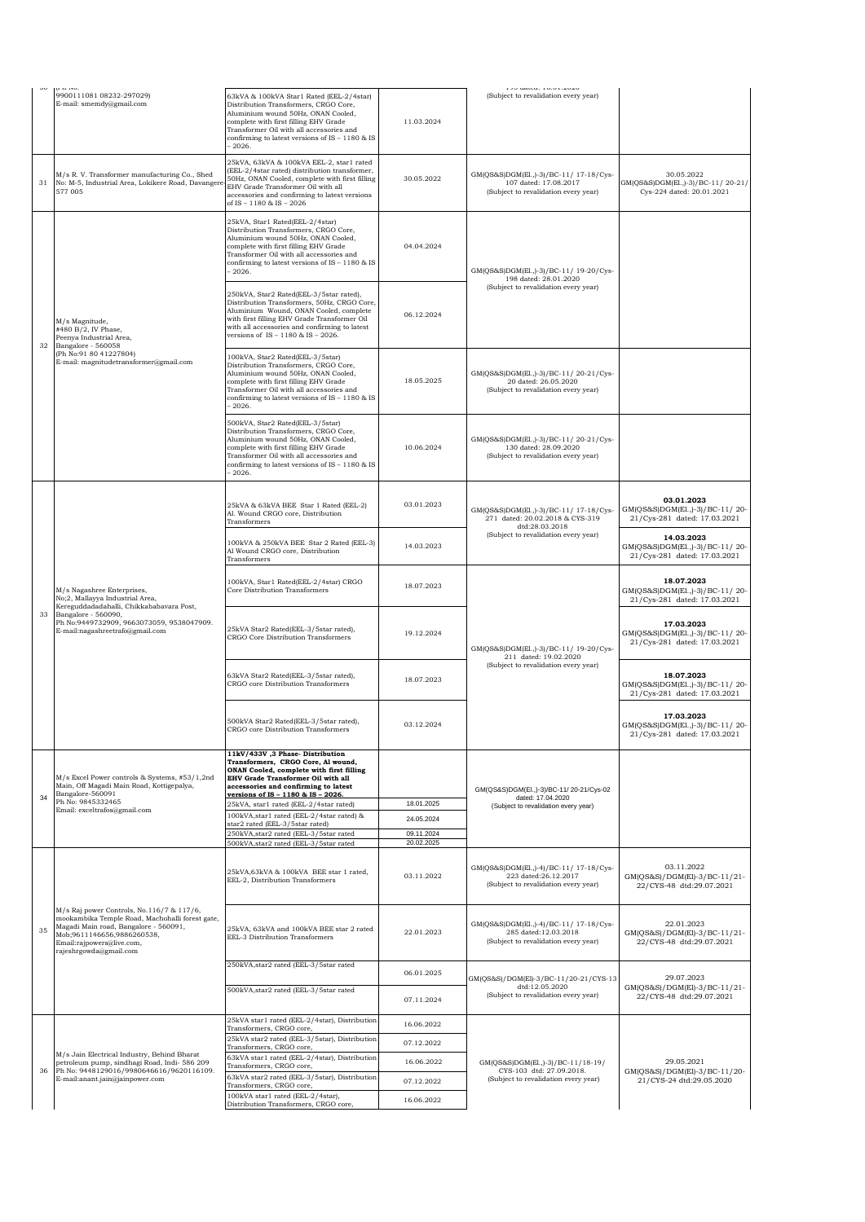|    | para avoi<br>9900111081 08232-297029)                                                                                                                                                                                      | 63kVA & 100kVA Star1 Rated (EEL-2/4star)                                                                                                                                                                                                                                |                          | <b>170 unitu.</b> 10.01.2020<br>(Subject to revalidation every year)                                    |                                                                              |
|----|----------------------------------------------------------------------------------------------------------------------------------------------------------------------------------------------------------------------------|-------------------------------------------------------------------------------------------------------------------------------------------------------------------------------------------------------------------------------------------------------------------------|--------------------------|---------------------------------------------------------------------------------------------------------|------------------------------------------------------------------------------|
|    | E-mail: smemdy@gmail.com                                                                                                                                                                                                   | Distribution Transformers, CRGO Core,<br>Aluminium wound 50Hz, ONAN Cooled,<br>complete with first filling EHV Grade<br>Transformer Oil with all accessories and<br>confirming to latest versions of IS - 1180 & IS<br>2026.                                            | 11.03.2024               |                                                                                                         |                                                                              |
| 31 | M/s R.V. Transformer manufacturing Co., Shed<br>No: M-5, Industrial Area, Lokikere Road, Davangere<br>577 005                                                                                                              | 25kVA, 63kVA & 100kVA EEL-2, star1 rated<br>EEL-2/4star rated) distribution transformer,<br>50Hz, ONAN Cooled, complete with first filling<br>EHV Grade Transformer Oil with all<br>accessories and confirming to latest versions<br>of IS - 1180 & IS - 2026           | 30.05.2022               | GM(QS&S)DGM(El.,)-3)/BC-11/ 17-18/Cys-<br>107 dated: 17.08.2017<br>(Subject to revalidation every year) | 30.05.2022<br>GM(QS&S)DGM(EL,)-3)/BC-11/20-21/<br>Cys-224 dated: 20.01.2021  |
|    |                                                                                                                                                                                                                            | 25kVA, Star1 Rated(EEL-2/4star)<br>Distribution Transformers, CRGO Core,<br>Aluminium wound 50Hz, ONAN Cooled,<br>complete with first filling EHV Grade<br>Transformer Oil with all accessories and<br>confirming to latest versions of IS - 1180 & IS<br>2026.         | 04.04.2024               | GM(QS&S)DGM(El.,)-3)/BC-11/19-20/Cys-<br>198 dated: 28.01.2020                                          |                                                                              |
| 32 | M/s Magnitude,<br>#480 B/2, IV Phase,<br>Peenya Industrial Area,<br>Bangalore - 560058                                                                                                                                     | 250kVA, Star2 Rated(EEL-3/5star rated),<br>Distribution Transformers, 50Hz, CRGO Core,<br>Aluminium Wound, ONAN Cooled, complete<br>with first filling EHV Grade Transformer Oil<br>with all accessories and confirming to latest<br>versions of IS - 1180 & IS - 2026. | 06.12.2024               | (Subject to revalidation every year)                                                                    |                                                                              |
|    | (Ph No:91 80 41227804)<br>E-mail: magnitudetransformer@gmail.com                                                                                                                                                           | 100kVA, Star2 Rated(EEL-3/5star)<br>Distribution Transformers, CRGO Core,<br>Aluminium wound 50Hz, ONAN Cooled,<br>complete with first filling EHV Grade<br>Transformer Oil with all accessories and<br>confirming to latest versions of IS - 1180 & IS<br>2026.        | 18.05.2025               | GM(QS&S)DGM(El.,)-3)/BC-11/20-21/Cys-<br>20 dated: 26.05.2020<br>(Subject to revalidation every year)   |                                                                              |
|    |                                                                                                                                                                                                                            | 500kVA, Star2 Rated(EEL-3/5star)<br>Distribution Transformers, CRGO Core,<br>Aluminium wound 50Hz, ONAN Cooled,<br>complete with first filling EHV Grade<br>Transformer Oil with all accessories and<br>confirming to latest versions of IS - 1180 & IS<br>2026.        | 10.06.2024               | GM(QS&S)DGM(El.,)-3)/BC-11/20-21/Cys-<br>130 dated: 28.09.2020<br>(Subject to revalidation every year)  |                                                                              |
|    | M/s Nagashree Enterprises,<br>No;2, Mallayya Industrial Area,<br>Kereguddadadahalli, Chikkababavara Post,<br>Bangalore - 560090,<br>Ph No:9449732909, 9663073059, 9538047909.<br>E-mail:nagashreetrafo@gmail.com           | 25kVA & 63kVA BEE Star 1 Rated (EEL-2)<br>Al. Wound CRGO core, Distribution<br>Transformers                                                                                                                                                                             | 03.01.2023               | GM(QS&S)DGM(El.,)-3)/BC-11/ 17-18/Cys-<br>271 dated: 20.02.2018 & CYS-319<br>dtd:28.03.2018             | 03.01.2023<br>GM(QS&S)DGM(El.,)-3)/BC-11/20-<br>21/Cys-281 dated: 17.03.2021 |
|    |                                                                                                                                                                                                                            | 100kVA & 250kVA BEE Star 2 Rated (EEL-3)<br>Al Wound CRGO core, Distribution<br>Transformers                                                                                                                                                                            | 14.03.2023               | (Subject to revalidation every year)                                                                    | 14.03.2023<br>GM(QS&S)DGM(El.,)-3)/BC-11/20-<br>21/Cys-281 dated: 17.03.2021 |
|    |                                                                                                                                                                                                                            | 100kVA, Star1 Rated(EEL-2/4star) CRGO<br>Core Distribution Transformers                                                                                                                                                                                                 | 18.07.2023               |                                                                                                         | 18.07.2023<br>GM(QS&S)DGM(El.,)-3)/BC-11/20-<br>21/Cys-281 dated: 17.03.2021 |
| 33 |                                                                                                                                                                                                                            | 25kVA Star2 Rated(EEL-3/5star rated),<br><b>CRGO Core Distribution Transformers</b>                                                                                                                                                                                     | 19.12.2024               | GM(QS&S)DGM(El.,)-3)/BC-11/ 19-20/Cys-<br>211 dated: 19.02.2020                                         | 17.03.2023<br>GM(QS&S)DGM(El.,)-3)/BC-11/20-<br>21/Cys-281 dated: 17.03.2021 |
|    |                                                                                                                                                                                                                            | 63kVA Star2 Rated(EEL-3/5star rated),<br>CRGO core Distribution Transformers                                                                                                                                                                                            | 18.07.2023               | (Subject to revalidation every year)                                                                    | 18.07.2023<br>GM(QS&S)DGM(El.,)-3)/BC-11/20-<br>21/Cys-281 dated: 17.03.2021 |
|    |                                                                                                                                                                                                                            | 500kVA Star2 Rated(EEL-3/5star rated),<br>CRGO core Distribution Transformers                                                                                                                                                                                           | 03.12.2024               |                                                                                                         | 17.03.2023<br>GM(QS&S)DGM(El.,)-3)/BC-11/20-<br>21/Cys-281 dated: 17.03.2021 |
| 34 | M/s Excel Power controls & Systems, #53/1,2nd<br>Main, Off Magadi Main Road, Kottigepalya,<br>Bangalore-560091                                                                                                             | 11kV/433V ,3 Phase-Distribution<br>Transformers, CRGO Core, Al wound,<br>ONAN Cooled, complete with first filling<br>EHV Grade Transformer Oil with all<br>accessories and confirming to latest<br>versions of IS - 1180 & IS - 2026.                                   |                          | GM(QS&S)DGM(El.,)-3)/BC-11/20-21/Cys-02<br>dated: 17.04.2020                                            |                                                                              |
|    | Ph No: 9845332465<br>Email: exceltrafos@gmail.com                                                                                                                                                                          | 25kVA, star1 rated (EEL-2/4star rated)<br>100kVA, star1 rated (EEL-2/4star rated) &                                                                                                                                                                                     | 18.01.2025               | (Subject to revalidation every year)                                                                    |                                                                              |
|    |                                                                                                                                                                                                                            | star2 rated (EEL-3/5star rated)                                                                                                                                                                                                                                         | 24.05.2024               |                                                                                                         |                                                                              |
|    |                                                                                                                                                                                                                            | 250kVA, star2 rated (EEL-3/5star rated<br>500kVA, star2 rated (EEL-3/5star rated                                                                                                                                                                                        | 09.11.2024<br>20.02.2025 |                                                                                                         |                                                                              |
|    |                                                                                                                                                                                                                            | 25kVA,63kVA & 100kVA BEE star 1 rated,<br>EEL-2, Distribution Transformers                                                                                                                                                                                              | 03.11.2022               | GM(QS&S)DGM(El.,)-4)/BC-11/ 17-18/Cys-<br>223 dated:26.12.2017<br>(Subject to revalidation every year)  | 03.11.2022<br>GM(QS&S)/DGM(El)-3/BC-11/21-<br>22/CYS-48 dtd:29.07.2021       |
| 35 | M/s Raj power Controls, No.116/7 & 117/6,<br>mookambika Temple Road, Machohalli forest gate,<br>Magadi Main road, Bangalore - 560091,<br>Mob;9611146656,9886260538,<br>Email:rajpowers@live.com,<br>rajeshrgowda@gmail.com | 25kVA, 63kVA and 100kVA BEE star 2 rated<br>EEL-3 Distribution Transformers                                                                                                                                                                                             | 22.01.2023               | GM(QS&S)DGM(El.,)-4)/BC-11/17-18/Cys-<br>285 dated:12.03.2018<br>(Subject to revalidation every year)   | 22.01.2023<br>GM(QS&S)/DGM(El)-3/BC-11/21-<br>22/CYS-48 dtd:29.07.2021       |
|    |                                                                                                                                                                                                                            | 250kVA, star2 rated (EEL-3/5star rated                                                                                                                                                                                                                                  | 06.01.2025               |                                                                                                         |                                                                              |
|    |                                                                                                                                                                                                                            | 500kVA, star2 rated (EEL-3/5star rated                                                                                                                                                                                                                                  | 07.11.2024               | GM(QS&S)/DGM(El)-3/BC-11/20-21/CYS-13<br>dtd:12.05.2020<br>(Subject to revalidation every year)         | 29.07.2023<br>GM(QS&S)/DGM(El)-3/BC-11/21-<br>22/CYS-48 dtd:29.07.2021       |
|    |                                                                                                                                                                                                                            | 25kVA star1 rated (EEL-2/4star), Distribution<br>Transformers, CRGO core,                                                                                                                                                                                               | 16.06.2022               |                                                                                                         |                                                                              |
|    |                                                                                                                                                                                                                            | 25kVA star2 rated (EEL-3/5star), Distribution<br>Transformers, CRGO core,                                                                                                                                                                                               | 07.12.2022               |                                                                                                         |                                                                              |
|    | M/s Jain Electrical Industry, Behind Bharat<br>petroleum pump, sindhagi Road, Indi- 586 209                                                                                                                                | 63kVA star1 rated (EEL-2/4star), Distribution                                                                                                                                                                                                                           | 16.06.2022               | GM(QS&S)DGM(El.,)-3)/BC-11/18-19/                                                                       | 29.05.2021                                                                   |
| 36 | Ph No: 9448129016/9980646616/9620116109.<br>E-mail:anant.jain@jainpower.com                                                                                                                                                | Transformers, CRGO core,<br>63kVA star2 rated (EEL-3/5star), Distribution                                                                                                                                                                                               | 07.12.2022               | CYS-103 dtd: 27.09.2018.<br>(Subject to revalidation every year)                                        | GM(QS&S)/DGM(El)-3/BC-11/20-<br>21/CYS-24 dtd:29.05.2020                     |
|    |                                                                                                                                                                                                                            | Transformers, CRGO core,<br>100kVA star1 rated (EEL-2/4star),                                                                                                                                                                                                           | 16.06.2022               |                                                                                                         |                                                                              |
|    |                                                                                                                                                                                                                            | Distribution Transformers, CRGO core,                                                                                                                                                                                                                                   |                          |                                                                                                         |                                                                              |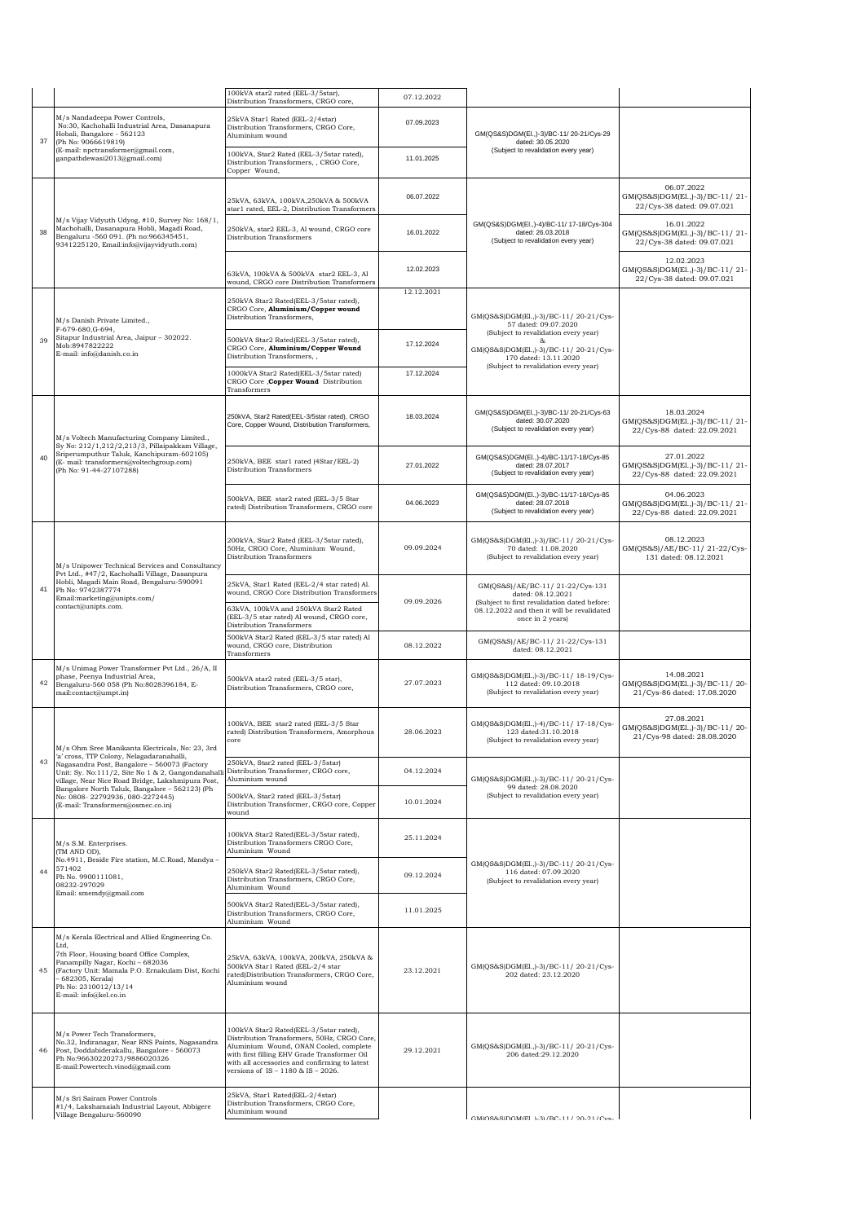|    |                                                                                                                                                                                                                                                                                                                                                                                   | 100kVA star2 rated (EEL-3/5star),<br>Distribution Transformers, CRGO core,                                                                                                                                                                                             | 07.12.2022 |                                                                                                                                                                        |                                                                             |
|----|-----------------------------------------------------------------------------------------------------------------------------------------------------------------------------------------------------------------------------------------------------------------------------------------------------------------------------------------------------------------------------------|------------------------------------------------------------------------------------------------------------------------------------------------------------------------------------------------------------------------------------------------------------------------|------------|------------------------------------------------------------------------------------------------------------------------------------------------------------------------|-----------------------------------------------------------------------------|
| 37 | M/s Nandadeepa Power Controls,<br>No:30, Kachohalli Industrial Area, Dasanapura<br>Hobali, Bangalore - 562123<br>(Ph No: 9066619819)                                                                                                                                                                                                                                              | 25kVA Star1 Rated (EEL-2/4star)<br>Distribution Transformers, CRGO Core,<br>Aluminium wound                                                                                                                                                                            | 07.09.2023 | GM(QS&S)DGM(El.,)-3)/BC-11/20-21/Cys-29<br>dated: 30.05.2020                                                                                                           |                                                                             |
|    | (E-mail: npctransformer@gmail.com,<br>ganpathdewasi2013@gmail.com)                                                                                                                                                                                                                                                                                                                | 100kVA, Star2 Rated (EEL-3/5star rated),<br>Distribution Transformers, , CRGO Core,<br>Copper Wound,                                                                                                                                                                   | 11.01.2025 | (Subject to revalidation every year)                                                                                                                                   |                                                                             |
|    | M/s Vijay Vidyuth Udyog, #10, Survey No: 168/1,<br>Machohalli, Dasanapura Hobli, Magadi Road,<br>Bengaluru -560 091. (Ph no:966345451,<br>9341225120, Email:info@vijayvidyuth.com)                                                                                                                                                                                                | 25kVA, 63kVA, 100kVA, 250kVA & 500kVA<br>star1 rated, EEL-2, Distribution Transformers                                                                                                                                                                                 | 06.07.2022 |                                                                                                                                                                        | 06.07.2022<br>GM(QS&S)DGM(El.,)-3)/BC-11/21-<br>22/Cys-38 dated: 09.07.021  |
| 38 |                                                                                                                                                                                                                                                                                                                                                                                   | 250kVA, star2 EEL-3, Al wound, CRGO core<br>Distribution Transformers                                                                                                                                                                                                  | 16.01.2022 | GM(QS&S)DGM(EI.,)-4)/BC-11/ 17-18/Cys-304<br>dated: 26.03.2018<br>(Subject to revalidation every year)                                                                 | 16.01.2022<br>GM(QS&S)DGM(El.,)-3)/BC-11/21-<br>22/Cys-38 dated: 09.07.021  |
|    |                                                                                                                                                                                                                                                                                                                                                                                   | 63kVA, 100kVA & 500kVA star2 EEL-3, Al<br>wound, CRGO core Distribution Transformers                                                                                                                                                                                   | 12.02.2023 |                                                                                                                                                                        | 12.02.2023<br>GM(QS&S)DGM(El.,)-3)/BC-11/21-<br>22/Cys-38 dated: 09.07.021  |
|    | M/s Danish Private Limited.,                                                                                                                                                                                                                                                                                                                                                      | 250kVA Star2 Rated(EEL-3/5star rated),<br>CRGO Core, Aluminium/Copper wound<br>Distribution Transformers,                                                                                                                                                              | 12.12.2021 | GM(QS&S)DGM(El.,)-3)/BC-11/20-21/Cys-<br>57 dated: 09.07.2020                                                                                                          |                                                                             |
| 39 | F-679-680, G-694,<br>Sitapur Industrial Area, Jaipur - 302022.<br>Mob:8947822222<br>E-mail: info@danish.co.in                                                                                                                                                                                                                                                                     | 500kVA Star2 Rated(EEL-3/5star rated),<br>CRGO Core, Aluminium/Copper Wound<br>Distribution Transformers,,                                                                                                                                                             | 17.12.2024 | (Subject to revalidation every year)<br>$\alpha$<br>GM(QS&S)DGM(El.,)-3)/BC-11/20-21/Cys-<br>170 dated: 13.11.2020                                                     |                                                                             |
|    |                                                                                                                                                                                                                                                                                                                                                                                   | 1000kVA Star2 Rated(EEL-3/5star rated)<br>CRGO Core , Copper Wound Distribution<br>Transformers                                                                                                                                                                        | 17.12.2024 | (Subject to revalidation every year)                                                                                                                                   |                                                                             |
|    | M/s Voltech Manufacturing Company Limited.,<br>Sy No: 212/1,212/2,213/3, Pillaipakkam Village,                                                                                                                                                                                                                                                                                    | 250kVA, Star2 Rated(EEL-3/5star rated), CRGO<br>Core, Copper Wound, Distribution Transformers,                                                                                                                                                                         | 18.03.2024 | GM(QS&S)DGM(El.,)-3)/BC-11/20-21/Cys-63<br>dated: 30.07.2020<br>(Subject to revalidation every year)                                                                   | 18.03.2024<br>GM(QS&S)DGM(El.,)-3)/BC-11/21-<br>22/Cys-88 dated: 22.09.2021 |
| 40 | Sriperumputhur Taluk, Kanchipuram-602105)<br>(E- mail: transformers@voltechgroup.com)<br>(Ph No: 91-44-27107288)                                                                                                                                                                                                                                                                  | 250kVA, BEE star1 rated (4Star/EEL-2)<br>Distribution Transformers                                                                                                                                                                                                     | 27.01.2022 | GM(QS&S)DGM(El.,)-4)/BC-11/17-18/Cys-85<br>dated: 28.07.2017<br>(Subject to revalidation every year)                                                                   | 27.01.2022<br>GM(QS&S)DGM(El.,)-3)/BC-11/21-<br>22/Cys-88 dated: 22.09.2021 |
|    |                                                                                                                                                                                                                                                                                                                                                                                   | 500kVA, BEE star2 rated (EEL-3/5 Star<br>rated) Distribution Transformers, CRGO core                                                                                                                                                                                   | 04.06.2023 | GM(QS&S)DGM(El.,)-3)/BC-11/17-18/Cys-85<br>dated: 28.07.2018<br>(Subject to revalidation every year)                                                                   | 04.06.2023<br>GM(QS&S)DGM(El.,)-3)/BC-11/21-<br>22/Cys-88 dated: 22.09.2021 |
|    | M/s Unipower Technical Services and Consultancy<br>Pvt Ltd., #47/2, Kachohalli Village, Dasanpura<br>Hobli, Magadi Main Road, Bengaluru-590091<br>Ph No: 9742387774<br>Email:marketing@unipts.com/<br>contact@unipts.com.                                                                                                                                                         | 200kVA, Star2 Rated (EEL-3/5star rated),<br>50Hz, CRGO Core, Aluminium Wound,<br>Distribution Transformers                                                                                                                                                             | 09.09.2024 | GM(QS&S)DGM(El.,)-3)/BC-11/20-21/Cys-<br>70 dated: 11.08.2020<br>(Subject to revalidation every year)                                                                  | 08.12.2023<br>GM(QS&S)/AE/BC-11/21-22/Cys-<br>131 dated: 08.12.2021         |
| 41 |                                                                                                                                                                                                                                                                                                                                                                                   | 25kVA, Star1 Rated (EEL-2/4 star rated) Al.<br>wound, CRGO Core Distribution Transformers<br>63kVA, 100kVA and 250kVA Star2 Rated<br>(EEL-3/5 star rated) Al wound, CRGO core,                                                                                         | 09.09.2026 | GM(QS&S)/AE/BC-11/21-22/Cys-131<br>dated: 08.12.2021<br>(Subject to first revalidation dated before:<br>08.12.2022 and then it will be revalidated<br>once in 2 years) |                                                                             |
|    |                                                                                                                                                                                                                                                                                                                                                                                   | Distribution Transformers<br>500kVA Star2 Rated (EEL-3/5 star rated) Al<br>wound, CRGO core, Distribution<br>Transformers                                                                                                                                              | 08.12.2022 | GM(QS&S)/AE/BC-11/21-22/Cys-131<br>dated: 08.12.2021                                                                                                                   |                                                                             |
| 42 | M/s Unimag Power Transformer Pvt Ltd., 26/A, II<br>phase, Peenya Industrial Area,<br>Bengaluru-560 058 (Ph No:8028396184, E-<br>mail:contact@umpt.in)                                                                                                                                                                                                                             | 500kVA star2 rated (EEL-3/5 star),<br>Distribution Transformers, CRGO core,                                                                                                                                                                                            | 27.07.2023 | GM(QS&S)DGM(El.,)-3)/BC-11/ 18-19/Cys-<br>112 dated: 09.10.2018<br>(Subject to revalidation every year)                                                                | 14.08.2021<br>GM(QS&S)DGM(El.,)-3)/BC-11/20-<br>21/Cys-86 dated: 17.08.2020 |
|    | M/s Ohm Sree Manikanta Electricals, No: 23, 3rd<br>'a' cross, TTP Colony, Nelagadaranahalli,<br>Nagasandra Post, Bangalore - 560073 (Factory<br>Unit: Sy. No:111/2, Site No 1 & 2, Gangondanahall<br>village. Near Nice Road Bridge. Lakshmipura Post.<br>Bangalore North Taluk, Bangalore - 562123) (Ph<br>No: 0808-22792936, 080-2272445)<br>(E-mail: Transformers@osmec.co.in) | 100kVA, BEE star2 rated (EEL-3/5 Star<br>rated) Distribution Transformers, Amorphous<br>core                                                                                                                                                                           | 28.06.2023 | GM(QS&S)DGM(El.,)-4)/BC-11/ 17-18/Cys-<br>123 dated:31.10.2018<br>(Subject to revalidation every year)                                                                 | 27.08.2021<br>GM(QS&S)DGM(El.,)-3)/BC-11/20-<br>21/Cys-98 dated: 28.08.2020 |
| 43 |                                                                                                                                                                                                                                                                                                                                                                                   | 250kVA, Star2 rated (EEL-3/5star)<br>Distribution Transformer, CRGO core,<br>Aluminium wound                                                                                                                                                                           | 04.12.2024 | GM(QS&S)DGM(El.,)-3)/BC-11/20-21/Cys-                                                                                                                                  |                                                                             |
|    |                                                                                                                                                                                                                                                                                                                                                                                   | 500kVA, Star2 rated (EEL-3/5star)<br>Distribution Transformer, CRGO core, Copper<br>wound                                                                                                                                                                              | 10.01.2024 | 99 dated: 28.08.2020<br>(Subject to revalidation every year)                                                                                                           |                                                                             |
|    | M/s S.M. Enterprises.<br>(TM AND OD),                                                                                                                                                                                                                                                                                                                                             | 100kVA Star2 Rated(EEL-3/5star rated),<br>Distribution Transformers CRGO Core,<br>Aluminium Wound                                                                                                                                                                      | 25.11.2024 |                                                                                                                                                                        |                                                                             |
| 44 | No.4911, Beside Fire station, M.C.Road, Mandya -<br>571402<br>Ph No. 9900111081,<br>08232-297029<br>Email: smemdy@gmail.com                                                                                                                                                                                                                                                       | 250kVA Star2 Rated(EEL-3/5star rated),<br>Distribution Transformers, CRGO Core,<br>Aluminium Wound                                                                                                                                                                     | 09.12.2024 | GM(QS&S)DGM(EL,)-3)/BC-11/20-21/Cys-<br>116 dated: 07.09.2020<br>(Subject to revalidation every year)                                                                  |                                                                             |
|    |                                                                                                                                                                                                                                                                                                                                                                                   | 500kVA Star2 Rated(EEL-3/5star rated),<br>Distribution Transformers, CRGO Core,<br>Aluminium Wound                                                                                                                                                                     | 11.01.2025 |                                                                                                                                                                        |                                                                             |
| 45 | M/s Kerala Electrical and Allied Engineering Co.<br>Ltd.<br>7th Floor, Housing board Office Complex,<br>Panampilly Nagar, Kochi - 682036<br>(Factory Unit: Mamala P.O. Ernakulam Dist, Kochi<br>- 682305, Kerala)<br>Ph No: 2310012/13/14<br>E-mail: info@kel.co.in                                                                                                               | 25kVA, 63kVA, 100kVA, 200kVA, 250kVA &<br>500kVA Star1 Rated (EEL-2/4 star<br>rated)Distribution Transformers, CRGO Core,<br>Aluminium wound                                                                                                                           | 23.12.2021 | GM(QS&S)DGM(El.,)-3)/BC-11/20-21/Cys-<br>202 dated: 23.12.2020                                                                                                         |                                                                             |
| 46 | M/s Power Tech Transformers,<br>No.32, Indiranagar, Near RNS Paints, Nagasandra<br>Post, Doddabiderakallu, Bangalore - 560073<br>Ph No:96630220273/9886020326<br>E-mail:Powertech.vinod@gmail.com                                                                                                                                                                                 | 100kVA Star2 Rated(EEL-3/5star rated),<br>Distribution Transformers, 50Hz, CRGO Core,<br>Aluminium Wound, ONAN Cooled, complete<br>with first filling EHV Grade Transformer Oil<br>with all accessories and confirming to latest<br>versions of IS - 1180 & IS - 2026. | 29.12.2021 | GM(QS&S)DGM(El.,)-3)/BC-11/20-21/Cys-<br>206 dated:29.12.2020                                                                                                          |                                                                             |
|    | M/s Sri Sairam Power Controls<br>#1/4, Lakshamaiah Industrial Layout, Abbigere<br>Village Bengaluru-560090                                                                                                                                                                                                                                                                        | 25kVA, Star1 Rated(EEL-2/4star)<br>Distribution Transformers, CRGO Core,<br>Aluminium wound                                                                                                                                                                            |            | CMICOS-CIDOMIDI 1-91/DO 11/-90-91/Cms                                                                                                                                  |                                                                             |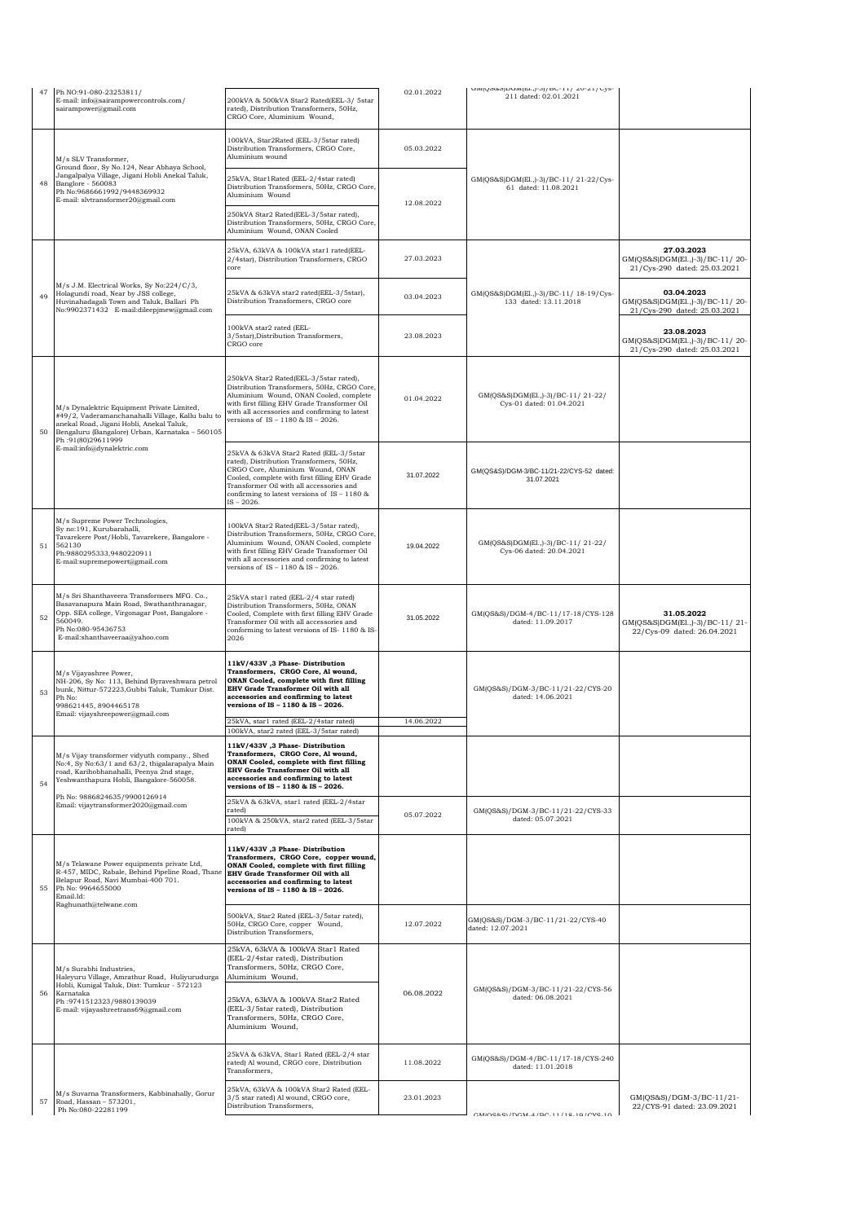|    | Ph NO:91-080-23253811/<br>E-mail: info@sairampowercontrols.com/                                                                                                                                                                                    | 200kVA & 500kVA Star2 Rated(EEL-3/ 5star                                                                                                                                                                                                                                              | 02.01.2022 | um(Qood)Dum(El.,J-0J/DC-11/20-21/Cys-<br>211 dated: 02.01.2021  |                                                                              |
|----|----------------------------------------------------------------------------------------------------------------------------------------------------------------------------------------------------------------------------------------------------|---------------------------------------------------------------------------------------------------------------------------------------------------------------------------------------------------------------------------------------------------------------------------------------|------------|-----------------------------------------------------------------|------------------------------------------------------------------------------|
|    | sairampower@gmail.com                                                                                                                                                                                                                              | rated), Distribution Transformers, 50Hz,<br>CRGO Core, Aluminium Wound,                                                                                                                                                                                                               |            |                                                                 |                                                                              |
|    | M/s SLV Transformer,<br>Ground floor, Sy No.124, Near Abhaya School,<br>Jangalpalya Village, Jigani Hobli Anekal Taluk,<br>Banglore - 560083<br>Ph No:9686661992/9448369932<br>E-mail: slvtransformer20@gmail.com                                  | 100kVA, Star2Rated (EEL-3/5star rated)<br>Distribution Transformers, CRGO Core,<br>Aluminium wound                                                                                                                                                                                    | 05.03.2022 |                                                                 |                                                                              |
| 48 |                                                                                                                                                                                                                                                    | 25kVA, Star1Rated (EEL-2/4star rated)<br>Distribution Transformers, 50Hz, CRGO Core,<br>Aluminium Wound                                                                                                                                                                               | 12.08.2022 | GM(QS&S)DGM(E1.,)-3)/BC-11/21-22/Cys-<br>61 dated: 11.08.2021   |                                                                              |
|    |                                                                                                                                                                                                                                                    | 250kVA Star2 Rated(EEL-3/5star rated),<br>Distribution Transformers, 50Hz, CRGO Core,<br>Aluminium Wound, ONAN Cooled                                                                                                                                                                 |            |                                                                 |                                                                              |
|    |                                                                                                                                                                                                                                                    | 25kVA, 63kVA & 100kVA star1 rated(EEL-<br>2/4star), Distribution Transformers, CRGO<br>core                                                                                                                                                                                           | 27.03.2023 |                                                                 | 27.03.2023<br>GM(QS&S)DGM(El.,)-3)/BC-11/20-<br>21/Cys-290 dated: 25.03.2021 |
| 49 | M/s J.M. Electrical Works, Sy No:224/C/3,<br>Holagundi road, Near by JSS college,<br>Huvinahadagali Town and Taluk, Ballari Ph<br>No:9902371432 E-mail:dileepjmew@gmail.com                                                                        | 25kVA & 63kVA star2 rated(EEL-3/5star),<br>Distribution Transformers, CRGO core                                                                                                                                                                                                       | 03.04.2023 | GM(QS&S)DGM(El.,)-3)/BC-11/ 18-19/Cys-<br>133 dated: 13.11.2018 | 03.04.2023<br>GM(QS&S)DGM(El.,)-3)/BC-11/20-<br>21/Cys-290 dated: 25.03.2021 |
|    |                                                                                                                                                                                                                                                    | 100kVA star2 rated (EEL-<br>3/5star), Distribution Transformers,<br>CRGO core                                                                                                                                                                                                         | 23.08.2023 |                                                                 | 23.08.2023<br>GM(QS&S)DGM(El.,)-3)/BC-11/20-<br>21/Cys-290 dated: 25.03.2021 |
| 50 | M/s Dynalektric Equipment Private Limited,<br>#49/2, Vaderamanchanahalli Village, Kallu balu to<br>anekal Road, Jigani Hobli, Anekal Taluk,<br>Bengaluru (Bangalore) Urban, Karnataka - 560105<br>Ph:91(80)29611999<br>E-mail:info@dynalektric.com | 250kVA Star2 Rated(EEL-3/5star rated),<br>Distribution Transformers, 50Hz, CRGO Core,<br>Aluminium Wound, ONAN Cooled, complete<br>with first filling EHV Grade Transformer Oil<br>with all accessories and confirming to latest<br>versions of IS - 1180 & IS - 2026.                | 01.04.2022 | GM(QS&S)DGM(El.,)-3)/BC-11/21-22/<br>Cys-01 dated: 01.04.2021   |                                                                              |
|    |                                                                                                                                                                                                                                                    | 25kVA & 63kVA Star2 Rated (EEL-3/5star<br>rated), Distribution Transformers, 50Hz,<br>CRGO Core, Aluminium Wound, ONAN<br>Cooled, complete with first filling EHV Grade<br>Transformer Oil with all accessories and<br>confirming to latest versions of $IS - 1180$ &<br>$IS - 2026.$ | 31.07.2022 | GM(QS&S)/DGM-3/BC-11/21-22/CYS-52 dated:<br>31.07.2021          |                                                                              |
| 51 | M/s Supreme Power Technologies,<br>Sy no:191, Kurubarahalli,<br>Tavarekere Post/Hobli, Tavarekere, Bangalore -<br>562130<br>Ph:9880295333,9480220911<br>E-mail:supremepowert@gmail.com                                                             | 100kVA Star2 Rated(EEL-3/5star rated),<br>Distribution Transformers, 50Hz, CRGO Core,<br>Aluminium Wound, ONAN Cooled, complete<br>with first filling EHV Grade Transformer Oil<br>with all accessories and confirming to latest<br>versions of IS - 1180 & IS - 2026.                | 19.04.2022 | GM(QS&S)DGM(EL,)-3)/BC-11/21-22/<br>Cys-06 dated: 20.04.2021    |                                                                              |
| 52 | M/s Sri Shanthaveera Transformers MFG. Co.,<br>Basavanapura Main Road, Swathanthranagar,<br>Opp. SEA college, Virgonagar Post, Bangalore -<br>560049.<br>Ph No:080-95436753<br>E-mail:shanthaveeraa@yahoo.com                                      | 25kVA star1 rated (EEL-2/4 star rated)<br>Distribution Transformers, 50Hz, ONAN<br>Cooled, Complete with first filling EHV Grade<br>Transformer Oil with all accessories and<br>conforming to latest versions of IS-1180 & IS<br>2026                                                 | 31.05.2022 | GM(QS&S)/DGM-4/BC-11/17-18/CYS-128<br>dated: 11.09.2017         | 31.05.2022<br>GM(QS&S)DGM(El.,)-3)/BC-11/21-<br>22/Cys-09 dated: 26.04.2021  |
| 53 | M/s Vijayashree Power,<br>NH-206, Sy No: 113, Behind Byraveshwara petrol<br>bunk, Nittur-572223, Gubbi Taluk, Tumkur Dist.<br>Ph No:<br>998621445.8904465178<br>Email: vijayshreepower@gmail.com                                                   | 11kV/433V, 3 Phase-Distribution<br>Transformers, CRGO Core, Al wound,<br>ONAN Cooled, complete with first filling<br>EHV Grade Transformer Oil with all<br>accessories and confirming to latest<br>versions of IS - 1180 & IS - 2026.                                                 |            | GM(QS&S)/DGM-3/BC-11/21-22/CYS-20<br>dated: 14.06.2021          |                                                                              |
|    |                                                                                                                                                                                                                                                    | 25kVA, star1 rated (EEL-2/4star rated)<br>100kVA, star2 rated (EEL-3/5star rated)                                                                                                                                                                                                     | 14.06.2022 |                                                                 |                                                                              |
| 54 | M/s Vijay transformer vidyuth company., Shed<br>No:4, Sy No:63/1 and 63/2, thigalarapalya Main<br>road, Karihobhanahalli, Peenya 2nd stage,<br>Yeshwanthapura Hobli, Bangalore-560058.                                                             | 11kV/433V ,3 Phase-Distribution<br>Transformers, CRGO Core, Al wound,<br>ONAN Cooled, complete with first filling<br>EHV Grade Transformer Oil with all<br>accessories and confirming to latest<br>versions of IS - 1180 & IS - 2026.                                                 |            |                                                                 |                                                                              |
|    | Ph No: 9886824635/9900126914<br>Email: vijaytransformer2020@gmail.com                                                                                                                                                                              | 25kVA & 63kVA, star1 rated (EEL-2/4star<br>rated)<br>100kVA & 250kVA, star2 rated (EEL-3/5star<br>rated)                                                                                                                                                                              | 05.07.2022 | GM(QS&S)/DGM-3/BC-11/21-22/CYS-33<br>dated: 05.07.2021          |                                                                              |
| 55 | M/s Telawane Power equipments private Ltd,<br>R-457, MIDC, Rabale, Behind Pipeline Road, Thane<br>Belapur Road, Navi Mumbai-400 701.<br>Ph No: 9964655000<br>Email.Id:                                                                             | 11kV/433V, 3 Phase-Distribution<br>Transformers, CRGO Core, copper wound,<br>ONAN Cooled, complete with first filling<br>EHV Grade Transformer Oil with all<br>accessories and confirming to latest<br>versions of IS - 1180 & IS - 2026.                                             |            |                                                                 |                                                                              |
|    | Raghunath@telwane.com                                                                                                                                                                                                                              | 500kVA, Star2 Rated (EEL-3/5star rated),<br>50Hz, CRGO Core, copper Wound,<br>Distribution Transformers,                                                                                                                                                                              | 12.07.2022 | GM(QS&S)/DGM-3/BC-11/21-22/CYS-40<br>dated: 12.07.2021          |                                                                              |
|    | M/s Surabhi Industries,<br>Haleyuru Village, Amrathur Road, Huliyurudurga                                                                                                                                                                          | 25kVA, 63kVA & 100kVA Star1 Rated<br>(EEL-2/4star rated), Distribution<br>Transformers, 50Hz, CRGO Core,<br>Aluminium Wound,                                                                                                                                                          |            |                                                                 |                                                                              |
| 56 | Hobli, Kunigal Taluk, Dist: Tumkur - 572123<br>Karnataka<br>Ph: 9741512323/9880139039<br>E-mail: vijayashreetrans69@gmail.com                                                                                                                      | 25kVA, 63kVA & 100kVA Star2 Rated<br>(EEL-3/5star rated), Distribution<br>Transformers, 50Hz, CRGO Core,<br>Aluminium Wound,                                                                                                                                                          | 06.08.2022 | GM(QS&S)/DGM-3/BC-11/21-22/CYS-56<br>dated: 06.08.2021          |                                                                              |
|    |                                                                                                                                                                                                                                                    | 25kVA & 63kVA, Star1 Rated (EEL-2/4 star<br>rated) Al wound, CRGO core, Distribution<br>Transformers,                                                                                                                                                                                 | 11.08.2022 | GM(QS&S)/DGM-4/BC-11/17-18/CYS-240<br>dated: 11.01.2018         |                                                                              |
| 57 | M/s Suvarna Transformers, Kabbinahally, Gorur<br>Road, Hassan - 573201,<br>Ph No:080-22281199                                                                                                                                                      | 25kVA, 63kVA & 100kVA Star2 Rated (EEL-<br>3/5 star rated) Al wound, CRGO core,<br>Distribution Transformers,                                                                                                                                                                         | 23.01.2023 | CMIC08-01/DOM A /DO 11/10 10/OV0 10                             | GM(QS&S)/DGM-3/BC-11/21-<br>22/CYS-91 dated: 23.09.2021                      |
|    |                                                                                                                                                                                                                                                    |                                                                                                                                                                                                                                                                                       |            |                                                                 |                                                                              |